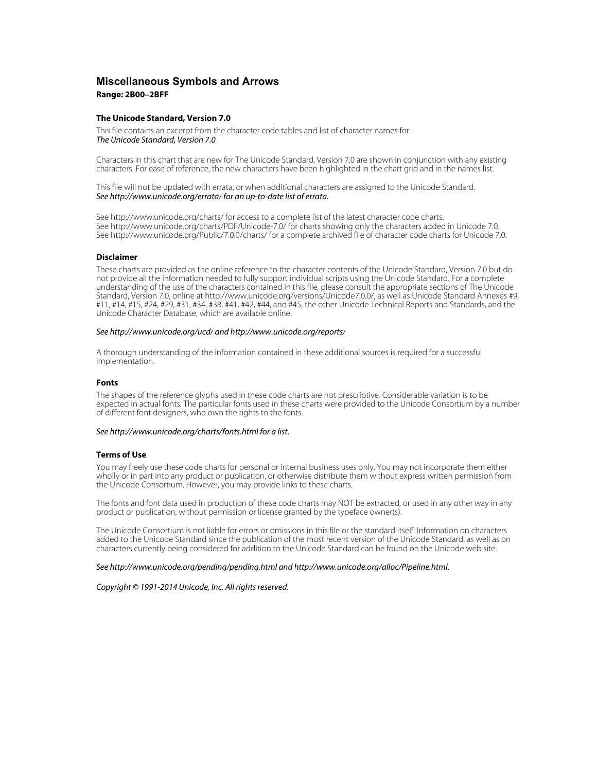## **Miscellaneous Symbols and Arrows Range: 2B00–2BFF**

#### **The Unicode Standard, Version 7.0**

This file contains an excerpt from the character code tables and list of character names for The Unicode Standard, Version 7.0

Characters in this chart that are new for The Unicode Standard, Version 7.0 are shown in conjunction with any existing characters. For ease of reference, the new characters have been highlighted in the chart grid and in the names list.

This file will not be updated with errata, or when additional characters are assigned to the Unicode Standard. See <http://www.unicode.org/errata/>for an up-to-date list of errata.

See <http://www.unicode.org/charts/> for access to a complete list of the latest character code charts. See <http://www.unicode.org/charts/PDF/Unicode-7.0/>for charts showing only the characters added in Unicode 7.0. See <http://www.unicode.org/Public/7.0.0/charts/> for a complete archived file of character code charts for Unicode 7.0.

### **Disclaimer**

These charts are provided as the online reference to the character contents of the Unicode Standard, Version 7.0 but do not provide all the information needed to fully support individual scripts using the Unicode Standard. For a complete understanding of the use of the characters contained in this file, please consult the appropriate sections of The Unicode Standard, Version 7.0, online at [http://www.unicode.org/versions/Unicode7.0.0/,](http://www.unicode.org/versions/Unicode7.0.0/) as well as Unicode Standard Annexes #9, #11, #14, #15, #24, #29, #31, #34, #38, #41, #42, #44, and #45, the other Unicode Technical Reports and Standards, and the Unicode Character Database, which are available online.

#### See <http://www.unicode.org/ucd/>and<http://www.unicode.org/reports/>

A thorough understanding of the information contained in these additional sources is required for a successful implementation.

#### **Fonts**

The shapes of the reference glyphs used in these code charts are not prescriptive. Considerable variation is to be expected in actual fonts. The particular fonts used in these charts were provided to the Unicode Consortium by a number of different font designers, who own the rights to the fonts.

#### See <http://www.unicode.org/charts/fonts.html> for a list.

#### **Terms of Use**

You may freely use these code charts for personal or internal business uses only. You may not incorporate them either wholly or in part into any product or publication, or otherwise distribute them without express written permission from the Unicode Consortium. However, you may provide links to these charts.

The fonts and font data used in production of these code charts may NOT be extracted, or used in any other way in any product or publication, without permission or license granted by the typeface owner(s).

The Unicode Consortium is not liable for errors or omissions in this file or the standard itself. Information on characters added to the Unicode Standard since the publication of the most recent version of the Unicode Standard, as well as on characters currently being considered for addition to the Unicode Standard can be found on the Unicode web site.

#### See <http://www.unicode.org/pending/pending.html> and [http://www.unicode.org/alloc/Pipeline.html.](http://www.unicode.org/alloc/Pipeline.html)

#### Copyright © 1991-2014 Unicode, Inc. All rights reserved.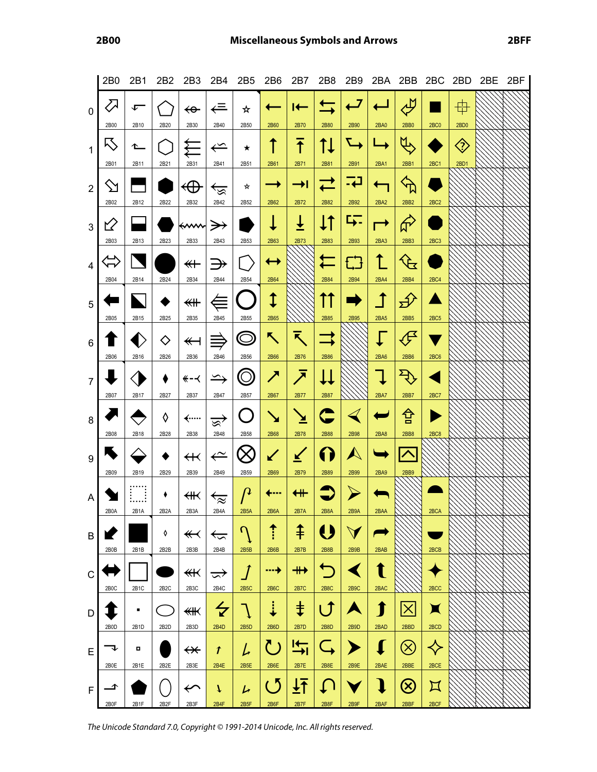|                | 2B <sub>0</sub>   | 2B1       | 2B <sub>2</sub>        | 2B3                            | 2B4                                   | 2B5               | 2B6                           | 2B7                | 2B8                    | 2B9                          |                                 | 2BA 2BB 2BC 2BD                |                               |                      | 2BE | 2BF |
|----------------|-------------------|-----------|------------------------|--------------------------------|---------------------------------------|-------------------|-------------------------------|--------------------|------------------------|------------------------------|---------------------------------|--------------------------------|-------------------------------|----------------------|-----|-----|
| $\mathbf 0$    | $\sum$            | ⊊         |                        | ↫                              | ⇐                                     | ☆                 |                               | $\vdash$           | $\Rightarrow$          | $\overline{L}$               |                                 | للع                            |                               | 毋                    |     |     |
| $\mathbf{1}$   | 2B00<br>15        | 2B10<br>≏ | 2B20                   | 2B30                           | 2B40<br>$\Leftarrow$                  | 2B50<br>★         | 2B60<br>↑                     | 2B70<br>干          | 2B80<br>Ť↓             | 2B90<br>$\rightarrow$        | <b>2BA0</b>                     | 2BB0<br>$\mathfrak{B}$         | 2BC0                          | 2BD0<br>$\bigotimes$ |     |     |
|                | 2B01              | 2B11      | 2B21                   | 2B31                           | 2B41                                  | 2B51              | 2B61                          | 2B71               | 2B81                   | 2B91                         | 2BA1                            | 2BB1                           | 2BC1                          | 2BD1                 |     |     |
| $\overline{2}$ | $\sum$<br>2B02    | 2B12      | 2B22                   | $\oplus$<br>2B32               | ভি<br>2B42                            | ☆<br>2B52         | →<br>2B62                     | ⇥<br>2B72          | 2B82                   | -4<br>2B92                   | $\overline{\mathbf{u}}$<br>2BA2 | $\oint$<br>2BB2                | 2BC2                          |                      |     |     |
| 3              | ⇙                 |           |                        | <del>≮</del> ∕‱                |                                       |                   |                               | ╧                  | Į1                     | <u>г,</u>                    | $\rightarrow$                   | $\hat{\theta}$                 |                               |                      |     |     |
|                | 2B03              | 2B13      | 2B23                   | 2B33                           | 2B43                                  | 2B53              | 2B63                          | 2B73               | 2B83                   | 2B93                         | 2BA3                            | 2BB3                           | 2BC <sub>3</sub>              |                      |     |     |
| 4              | ム<br>イマ           |           |                        | $\overline{\ast}$              | $\Rightarrow$                         |                   | $\boldsymbol{\dashv}$         |                    | $\blacksquare$         | £3                           | ↥                               | $\mathcal{F}$                  |                               |                      |     |     |
|                | 2B04              | 2B14      | 2B24                   | 2B34                           | 2B44                                  | 2B54              | 2B64                          |                    | 2B84                   | 2B94                         | 2BA4                            | 2BB4                           | 2BC4                          |                      |     |     |
| 5              |                   |           | 2B25                   | ≰₩                             |                                       | 2B55              | ↨                             |                    | ΓT                     |                              | $\mathbf 1$                     | $\bigoplus$                    |                               |                      |     |     |
| $\,6$          | 2B05              | 2B15      | $\diamond$             | 2B35<br>$\overline{\P}$        | 2B45<br>≡                             | $\bm{\mathbb{O}}$ | 2B65<br>乀                     | 入                  | 2B85                   | 2B95                         | 2BA5                            | 2BB5<br>$\mathcal{F}$          | 2BC <sub>5</sub>              |                      |     |     |
|                | 2B06              | 2B16      | 2B26                   | 2B36                           | 2B46                                  | 2B56              | 2B66                          | 2B76               | 2B86                   |                              | 2BA6                            | 2BB6                           | 2BC6                          |                      |     |     |
| $\overline{7}$ |                   |           |                        | — ≫                            | $\hookrightarrow$                     | ⊙                 | ╱                             | $\bar{\mathbf{z}}$ | Ц                      |                              | $\downarrow$                    | $\overline{\mathcal{L}}$       |                               |                      |     |     |
|                | 2B07              | 2B17      | 2B27                   | 2B37                           | 2B47                                  | 2B57              | 2B67                          | 2B77               | 2B87                   |                              | <b>2BA7</b>                     | 2BB7                           | 2BC7                          |                      |     |     |
| 8              | 2B08              | 2B18      | ◊<br>2B28              | ∕……<br>2B38                    | জ্<br>2B48                            | 2B58              | $\blacktriangleright$<br>2B68 | ⊻<br>2B78          | 2B88                   | $\blacktriangleleft$<br>2B98 | Б<br>2BA8                       | 仓<br>2BB8                      | 2BC8                          |                      |     |     |
|                | $\blacktriangle$  |           |                        |                                |                                       |                   |                               |                    |                        | $\blacktriangle$             |                                 |                                |                               |                      |     |     |
| 9              | 2B09              | 2B19      | 2B29                   | $\leftrightarrow$<br>2B39      | $\stackrel{\sim}{\leftarrow}$<br>2B49 | 2B59              | ✔<br>2B69                     | $\leq$<br>2B79     | ( )<br>2B89            | 2B99                         | 2BA9                            | $\left  \right\rangle$<br>2BB9 |                               |                      |     |     |
|                |                   | ļ         |                        |                                |                                       | $\mathcal{P}$     | $\leftarrow$                  | $\leftarrow$       |                        |                              |                                 |                                |                               |                      |     |     |
| A              | 2B0A              | 2B1A      | ٠<br>2B <sub>2</sub> A | ∰<br>2B3A                      | $\overleftarrow{z}$<br>2B4A           | 2B5A              | 2B6A                          | <b>2B7A</b>        | 2B8A                   | 2B9A                         | 2BAA                            |                                | 2BCA                          |                      |     |     |
| B              |                   |           | ♦                      | $\overline{\mathbf{f}}$        | $\tilde{\phantom{a}}$                 | $\Omega$          |                               | ⇞                  | U                      | $\blacktriangledown$         |                                 |                                |                               |                      |     |     |
|                | 2B0B              | 2B1B      | 2B2B                   | 2B3B                           | 2B4B                                  | 2B5B              | 2B6B                          | 2B7B               | 2B8B                   | 2B9B                         | 2BAB                            |                                | 2BCB                          |                      |     |     |
| C              |                   |           |                        | ¥                              | ≂                                     | $\boldsymbol{J}$  | ┅+                            |                    | $\overline{\Box}$      |                              | t                               |                                |                               |                      |     |     |
|                | 2B <sub>0</sub> C | 2B1C      | 2B <sub>2</sub> C      | 2B3C                           | 2B4C                                  | 2B5C              | <b>2B6C</b>                   | <b>2B7C</b>        | <b>2B8C</b>            | 2B9C                         | 2BAC                            |                                | 2BCC                          |                      |     |     |
| D              | 2B0D              | ٠<br>2B1D | 2B <sub>2</sub> D      | 侌<br>2B3D                      | $\overline{\mathbf{z}}$<br>2B4D       | 2B5D              | 2B6D                          | ŧ<br>2B7D          | $\blacksquare$<br>2B8D | 2B9D                         | 1<br>2BAD                       | $\times$<br>2BBD               | $\blacktriangleright$<br>2BCD |                      |     |     |
| E              |                   | п         |                        | $\bm{\nleftrightarrow}$        | T                                     | レ                 | ( 5                           | I←<br>⇥            |                        |                              | L                               | $(\times)$                     | $\blacklozenge$               |                      |     |     |
|                | 2B0E              | 2B1E      | 2B2E                   | 2B3E                           | 2B4E                                  | 2B5E              | 2B6E                          | 2B7E               | 2B8E                   | 2B9E                         | 2BAE                            | 2BBE                           | 2BCE                          |                      |     |     |
| $\mathsf F$    | ◢                 |           |                        | $\boldsymbol{\curvearrowleft}$ | T                                     | レ                 | ( 5                           | ┹┹                 |                        |                              | $\bf{l}$                        | $\left( \infty \right)$        | $\bm{\mathsf{\Pi}}$           |                      |     |     |
|                | 2B0F              | 2B1F      | 2B <sub>2F</sub>       | 2B3F                           | 2B4F                                  | 2B5F              | 2B6F                          | 2B7F               | 2B8F                   | 2B9F                         | 2BAF                            | 2BBF                           | 2BCF                          |                      |     |     |

The Unicode Standard 7.0, Copyright © 1991-2014 Unicode, Inc. All rights reserved.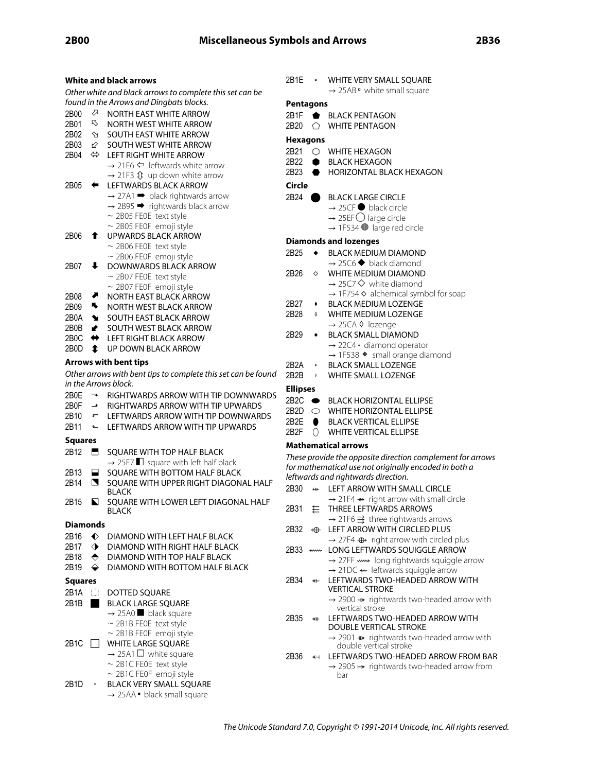|                |                       | White and black arrows                                                                               |
|----------------|-----------------------|------------------------------------------------------------------------------------------------------|
|                |                       | Other white and black arrows to complete this set can be<br>found in the Arrows and Dingbats blocks. |
| 2B00           | ⇗                     | NORTH EAST WHITE ARROW                                                                               |
| 2B01           | R,                    | NORTH WEST WHITE ARROW                                                                               |
| 2B02           | ⇘                     | SOUTH EAST WHITE ARROW                                                                               |
| 2B03           |                       |                                                                                                      |
|                | $\varnothing$         | SOUTH WEST WHITE ARROW                                                                               |
| 2B04 -         | $\Leftrightarrow$     | <b>LEFT RIGHT WHITE ARROW</b>                                                                        |
|                |                       | $\rightarrow$ 21E6 $\Leftarrow$ leftwards white arrow                                                |
|                |                       | $\rightarrow$ 21F3 $\hat{\mathfrak{Y}}$ up down white arrow                                          |
| 2B05           | ⇚                     | LEFTWARDS BLACK ARROW                                                                                |
|                |                       | $\rightarrow$ 27A1 $\rightarrow$ black rightwards arrow                                              |
|                |                       | $\rightarrow$ 2B95 $\rightarrow$ rightwards black arrow                                              |
|                |                       | $\sim$ 2B05 FE0E text style                                                                          |
|                |                       | $\sim$ 2B05 FE0F emoji style                                                                         |
| 2B06           | t                     | <b>UPWARDS BLACK ARROW</b>                                                                           |
|                |                       | $\sim$ 2B06 FE0E text style                                                                          |
|                |                       | $\sim$ 2B06 FE0F emoji style                                                                         |
| 2B07           | ↓                     | DOWNWARDS BLACK ARROW                                                                                |
|                |                       | $\sim$ 2B07 FE0E text style                                                                          |
|                |                       | ~ 2B07 FE0F emoji style                                                                              |
| 2B08           | ▰                     | NORTH EAST BLACK ARROW                                                                               |
| 2B09           | к,                    | NORTH WEST BLACK ARROW                                                                               |
| 2B0A           | ₩                     | SOUTH EAST BLACK ARROW                                                                               |
| 2B0B           | $\blacktriangleright$ | SOUTH WEST BLACK ARROW                                                                               |
| 2B0C           | ⇔                     | LEFT RIGHT BLACK ARROW                                                                               |
| 2B0D           | t                     | <b>UP DOWN BLACK ARROW</b>                                                                           |
|                |                       | <b>Arrows with bent tips</b>                                                                         |
|                |                       | Other arrows with bent tips to complete this set can be found                                        |
|                |                       | in the Arrows block.                                                                                 |
|                |                       |                                                                                                      |
|                |                       | 2B0E $\rightarrow$ RIGHTWARDS ARROW WITH TIP DOWNWARDS                                               |
| 2B0F           |                       | $\rightarrow$ RIGHTWARDS ARROW WITH TIP UPWARDS                                                      |
|                |                       | 2B10 $\sqrt{ }$ LEFTWARDS ARROW WITH TIP DOWNWARDS                                                   |
| 2B11           | $\sim$                | LEFTWARDS ARROW WITH TIP UPWARDS                                                                     |
| Squares        |                       |                                                                                                      |
| 2B12           |                       | SQUARE WITH TOP HALF BLACK                                                                           |
|                |                       | $\rightarrow$ 25E7 $\Box$ square with left half black                                                |
| 2B13           | н                     | SQUARE WITH BOTTOM HALF BLACK                                                                        |
| 2B14           | N                     | SQUARE WITH UPPER RIGHT DIAGONAL HALF                                                                |
|                |                       | <b>BLACK</b>                                                                                         |
| 2B15           | N                     | SQUARE WITH LOWER LEFT DIAGONAL HALF                                                                 |
|                |                       | BLACK                                                                                                |
| Diamonds       |                       |                                                                                                      |
|                |                       |                                                                                                      |
| 2B16           | $\blacklozenge$       | DIAMOND WITH LEFT HALF BLACK                                                                         |
| 2B17           | $\blacklozenge$       | DIAMOND WITH RIGHT HALF BLACK                                                                        |
| 2B18           | $\blacklozenge$       | DIAMOND WITH TOP HALF BLACK                                                                          |
| 2B19           | ⇔                     | DIAMOND WITH BOTTOM HALF BLACK                                                                       |
| <b>Squares</b> |                       |                                                                                                      |
| 2B1A           | $\prod_{i=1}^m$       | DOTTED SQUARE                                                                                        |
| 2B1B           | ٠                     | <b>BLACK LARGE SQUARE</b>                                                                            |
|                |                       | $\rightarrow$ 25A0 black square                                                                      |
|                |                       | $\sim$ 2B1B FEOE text style                                                                          |
|                |                       | $\sim$ 2B1B FEOF emoji style                                                                         |
| 2B1C           |                       | WHITE LARGE SQUARE                                                                                   |
|                |                       | $\rightarrow$ 25A1 $\Box$ white square                                                               |
|                |                       | $\sim$ 2B1C FE0E text style                                                                          |
|                |                       |                                                                                                      |
|                |                       | $\sim$ 2B1C FE0F emoji style                                                                         |
| 2B1D           |                       | BLACK VERY SMALL SQUARE                                                                              |
|                |                       | $\rightarrow$ 25AA $\bullet$ black small square                                                      |

|   | 2B1E -          |                          | WHITE VERY SMALL SQUARE<br>$\rightarrow$ 25AB $\bullet$ white small square               |
|---|-----------------|--------------------------|------------------------------------------------------------------------------------------|
|   | Pentagons       |                          |                                                                                          |
|   | 2B1F            | ٠                        | <b>BLACK PENTAGON</b>                                                                    |
|   | 2B20            | ↷                        | <b>WHITE PENTAGON</b>                                                                    |
|   | <b>Hexagons</b> |                          |                                                                                          |
|   | 2B21            |                          | $\bigcirc$ WHITE HEXAGON                                                                 |
|   | 2B22            |                          | BLACK HEXAGON                                                                            |
|   | 2B23            |                          | HORIZONTAL BLACK HEXAGON                                                                 |
|   | Circle          |                          |                                                                                          |
|   | 2B24            |                          | <b>BLACK LARGE CIRCLE</b>                                                                |
|   |                 |                          | $\rightarrow$ 25CF black circle                                                          |
|   |                 |                          | $\rightarrow$ 25EF $\bigcirc$ large circle                                               |
|   |                 |                          | $\rightarrow$ 1F534 $\bullet$ large red circle                                           |
|   |                 |                          |                                                                                          |
|   |                 |                          | <b>Diamonds and lozenges</b><br><b>BLACK MEDIUM DIAMOND</b>                              |
|   | 2B25            | ٠                        | $\rightarrow$ 25C6 $\blacklozenge$ black diamond                                         |
|   | 2B26            | ♦                        | WHITE MEDIUM DIAMOND                                                                     |
|   |                 |                          | $\rightarrow$ 25C7 $\diamondsuit$ white diamond                                          |
|   |                 |                          | $\rightarrow$ 1F754 $\diamond$ alchemical symbol for soap                                |
|   | 2B27            |                          | <b>BLACK MEDIUM LOZENGE</b>                                                              |
|   | 2B28            | $\circ$                  | <b>WHITE MEDIUM LOZENGE</b>                                                              |
|   |                 |                          | → 25CA & lozenge                                                                         |
|   | 2B29            |                          | <b>BLACK SMALL DIAMOND</b>                                                               |
|   |                 |                          | $\rightarrow$ 22C4 $\cdot$ diamond operator                                              |
|   |                 |                          | → 1F538 + small orange diamond                                                           |
|   | 2B2A            | $\bullet$                | <b>BLACK SMALL LOZENGE</b>                                                               |
| d | 2B2B            | $\boldsymbol{\lozenge}$  | <b>WHITE SMALL LOZENGE</b>                                                               |
| Ś | <b>Ellipses</b> |                          |                                                                                          |
|   |                 |                          | 2B2C BLACK HORIZONTAL ELLIPSE                                                            |
|   |                 |                          | 2B2D O WHITE HORIZONTAL ELLIPSE                                                          |
|   |                 |                          | 2B2E BLACK VERTICAL ELLIPSE                                                              |
|   | 2B2F            | ∩                        | <b>WHITE VERTICAL ELLIPSE</b>                                                            |
|   |                 |                          | <b>Mathematical arrows</b>                                                               |
|   |                 |                          | These provide the opposite direction complement for arrows                               |
|   |                 |                          | for mathematical use not originally encoded in both a                                    |
|   |                 |                          | leftwards and rightwards direction.                                                      |
|   |                 |                          | 2B30 <> LEFT ARROW WITH SMALL CIRCLE                                                     |
|   |                 |                          | $\rightarrow$ 21F4 $\leftrightarrow$ right arrow with small circle                       |
|   | 2B31            | ₤                        | THREE LEFTWARDS ARROWS                                                                   |
|   | 2B32            | ⊕                        | $\rightarrow$ 21F6 $\Rightarrow$ three rightwards arrows<br>LEFT ARROW WITH CIRCLED PLUS |
|   |                 |                          | $\rightarrow$ 27F4 $\oplus$ right arrow with circled plus                                |
|   | 2B33            | ⇜                        | LONG LEFTWARDS SQUIGGLE ARROW                                                            |
|   |                 |                          | → 27FF <w> long rightwards squiggle arrow</w>                                            |
|   |                 |                          | $\rightarrow$ 21DC $\leftarrow$ leftwards squiggle arrow                                 |
|   | 2B34            | $\overline{\phantom{a}}$ | LEFTWARDS TWO-HEADED ARROW WITH                                                          |
|   |                 |                          | <b>VERTICAL STROKE</b>                                                                   |
|   |                 |                          | $\rightarrow$ 2900 $\rightarrow$ rightwards two-headed arrow with                        |
|   | 2B35            | ⊯                        | vertical stroke<br>LEFTWARDS TWO-HEADED ARROW WITH                                       |
|   |                 |                          | <b>DOUBLE VERTICAL STROKE</b>                                                            |
|   |                 |                          |                                                                                          |

 $\rightarrow$  2901  $\ast\ast$  rightwards two-headed arrow with double vertical stroke

2B36 ⬶ LEFTWARDS TWO-HEADED ARROW FROM BAR  $\rightarrow$  2905  $\leftrightarrow$  rightwards two-headed arrow from bar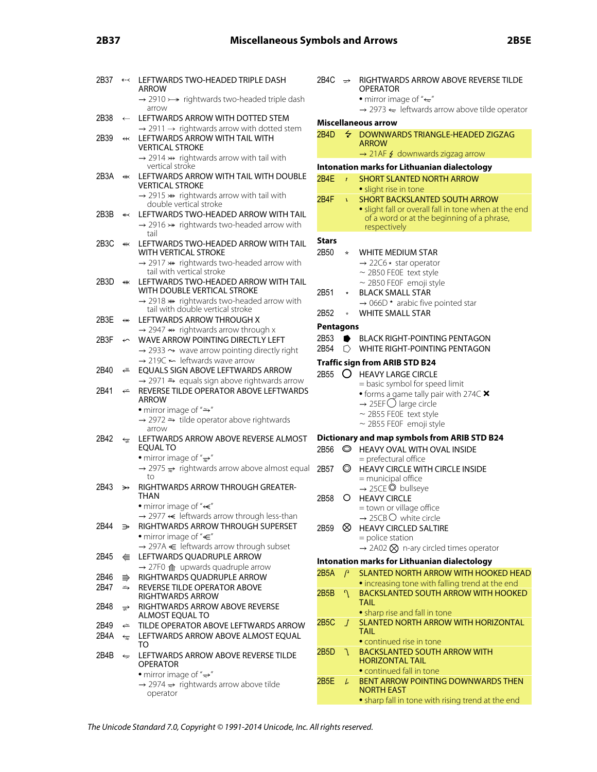# **2B37 Miscellaneous Symbols and Arrows 2B5E**

| 2B37 | —∗                             | LEFTWARDS TWO-HEADED TRIPLE DASH<br>ARROW                                                                                   | 2В        |
|------|--------------------------------|-----------------------------------------------------------------------------------------------------------------------------|-----------|
|      |                                | $\rightarrow$ 2910 > $\rightarrow$ rightwards two-headed triple dash<br>arrow                                               |           |
| 2B38 | $\leftarrow$                   | LEFTWARDS ARROW WITH DOTTED STEM                                                                                            |           |
|      |                                | $\rightarrow$ 2911 $\rightarrow$ rightwards arrow with dotted stem                                                          | Mi        |
| 2B39 | $\overline{\mathbf{r}}$        | LEFTWARDS ARROW WITH TAIL WITH<br><b>VERTICAL STROKE</b>                                                                    | 2B        |
|      |                                | $\rightarrow$ 2914 $\nleftrightarrow$ rightwards arrow with tail with                                                       |           |
|      |                                | vertical stroke<br>LEFTWARDS ARROW WITH TAIL WITH DOUBLE                                                                    | Int       |
| 2B3A | #                              | <b>VERTICAL STROKE</b>                                                                                                      | 2B        |
|      |                                | $\rightarrow$ 2915 $\ast\ast$ rightwards arrow with tail with<br>double vertical stroke                                     | 2B        |
| 2B3B | $\overline{\mathbf{y}}$        | LEFTWARDS TWO-HEADED ARROW WITH TAIL                                                                                        |           |
|      |                                | $\rightarrow$ 2916 $\nrightarrow$ rightwards two-headed arrow with                                                          |           |
| 2B3C | ₩                              | tail<br>LEFTWARDS TWO-HEADED ARROW WITH TAIL                                                                                | Sta       |
|      |                                | WITH VERTICAL STROKE                                                                                                        | 2B        |
|      |                                | $\rightarrow$ 2917 $\rightarrow$ rightwards two-headed arrow with<br>tail with vertical stroke                              |           |
| 2B3D | ⊯                              | LEFTWARDS TWO-HEADED ARROW WITH TAIL                                                                                        |           |
|      |                                | WITH DOUBLE VERTICAL STROKE<br>$\rightarrow$ 2918 ** rightwards two-headed arrow with                                       | 2B!       |
|      |                                | tail with double vertical stroke                                                                                            |           |
| 2B3E | ↮                              | LEFTWARDS ARROW THROUGH X                                                                                                   | 2B!       |
|      |                                | $\rightarrow$ 2947 $\leftrightarrow$ rightwards arrow through x                                                             | Pe        |
| 2B3F | $\overline{\mathbf{y}}$        | <b>WAVE ARROW POINTING DIRECTLY LEFT</b>                                                                                    | 2B!<br>2B |
|      |                                | $\rightarrow$ 2933 $\rightarrow$ wave arrow pointing directly right<br>$\rightarrow$ 219C $\leftarrow$ leftwards wave arrow |           |
| 2B40 | ⇐                              | EQUALS SIGN ABOVE LEFTWARDS ARROW                                                                                           | Tra       |
|      |                                | → 2971 = equals sign above rightwards arrow                                                                                 | 2B        |
| 2B41 | $\stackrel{\sim}{\rightarrow}$ | REVERSE TILDE OPERATOR ABOVE LEFTWARDS<br><b>ARROW</b>                                                                      |           |
|      |                                | • mirror image of " $\Rightarrow$ "                                                                                         |           |
|      |                                | → 2972 → tilde operator above rightwards<br>arrow                                                                           |           |
| 2B42 | ৼৢ                             | LEFTWARDS ARROW ABOVE REVERSE ALMOST<br><b>EQUAL TO</b>                                                                     | Di<br>2B  |
|      |                                | • mirror image of " $\Rightarrow$ "                                                                                         |           |
|      |                                | $\rightarrow$ 2975 $\Rightarrow$ rightwards arrow above almost equal<br>to                                                  | 2B        |
| 2B43 | →                              | RIGHTWARDS ARROW THROUGH GREATER-<br>THAN                                                                                   | 2B        |
|      |                                | • mirror image of " $\leftarrow$ "                                                                                          |           |
|      |                                | $\rightarrow$ 2977 $\leftarrow$ leftwards arrow through less-than                                                           |           |
| 2B44 | ⋺                              | RIGHTWARDS ARROW THROUGH SUPERSET                                                                                           | 2B        |
|      |                                | • mirror image of " $\in$ "<br>→ 297A E leftwards arrow through subset                                                      |           |
| 2B45 | €                              | LEFTWARDS QUADRUPLE ARROW                                                                                                   | Int       |
| 2B46 |                                | $\rightarrow$ 27F0 $\hat{m}$ upwards quadruple arrow<br>RIGHTWARDS QUADRUPLE ARROW                                          | 2B        |
| 2B47 | ⇛<br>$\Rightarrow$             | REVERSE TILDE OPERATOR ABOVE                                                                                                |           |
|      |                                | <b>RIGHTWARDS ARROW</b>                                                                                                     | 2B        |
| 2B48 | ≅                              | RIGHTWARDS ARROW ABOVE REVERSE<br>ALMOST EQUAL TO                                                                           |           |
| 2B49 | $\Leftarrow$                   | TILDE OPERATOR ABOVE LEFTWARDS ARROW                                                                                        | 2B        |
| 2B4A | ⇆                              | LEFTWARDS ARROW ABOVE ALMOST EQUAL<br>TO                                                                                    |           |
| 2B4B | $\overline{\mathbb{R}}$        | LEFTWARDS ARROW ABOVE REVERSE TILDE<br>OPERATOR                                                                             | 2B        |
|      |                                | • mirror image of " $\Rightarrow$ "                                                                                         |           |
|      |                                | $\rightarrow$ 2974 $\rightarrow$ rightwards arrow above tilde                                                               | 2B        |
|      |                                | operator                                                                                                                    |           |

|    | 2B4C $\Rightarrow$ |                          | RIGHTWARDS ARROW ABOVE REVERSE TILDE<br><b>OPERATOR</b><br>• mirror image of " $\leftarrow$ " |
|----|--------------------|--------------------------|-----------------------------------------------------------------------------------------------|
|    |                    |                          | $\rightarrow$ 2973 $\leftarrow$ leftwards arrow above tilde operator                          |
|    |                    |                          | Miscellaneous arrow                                                                           |
|    | 2B4D               | $\overline{\mathcal{L}}$ | DOWNWARDS TRIANGLE-HEADED ZIGZAG<br><b>ARROW</b>                                              |
|    |                    |                          | → 21AF & downwards zigzag arrow                                                               |
|    |                    |                          | Intonation marks for Lithuanian dialectology                                                  |
|    | 2B4E               | $\mathbf{r}$             | <b>SHORT SLANTED NORTH ARROW</b>                                                              |
|    |                    |                          | • slight rise in tone                                                                         |
|    | 2B4F               | $\mathbf{r}$             | <b>SHORT BACKSLANTED SOUTH ARROW</b>                                                          |
|    |                    |                          | · slight fall or overall fall in tone when at the end                                         |
|    |                    |                          | of a word or at the beginning of a phrase,                                                    |
|    |                    |                          | respectively                                                                                  |
|    |                    |                          |                                                                                               |
|    | <b>Stars</b>       |                          |                                                                                               |
|    | 2B50               | *                        | WHITE MEDIUM STAR                                                                             |
|    |                    |                          | $\rightarrow$ 22C6 $\star$ star operator                                                      |
|    |                    |                          | $\sim$ 2B50 FE0E text style                                                                   |
|    |                    |                          | $\sim$ 2B50 FE0F emoji style                                                                  |
|    | 2B51               |                          | <b>BLACK SMALL STAR</b>                                                                       |
|    |                    |                          | $\rightarrow$ 066D $\star$ arabic five pointed star                                           |
|    | 2B52               |                          | <b>WHITE SMALL STAR</b>                                                                       |
|    |                    |                          |                                                                                               |
|    | <b>Pentagons</b>   |                          |                                                                                               |
|    | 2B53               |                          | BLACK RIGHT-POINTING PENTAGON                                                                 |
|    | 2B54               | ∩                        | WHITE RIGHT-POINTING PENTAGON                                                                 |
|    |                    |                          | <b>Traffic sign from ARIB STD B24</b>                                                         |
|    | 2B55               | $\circ$                  | <b>HEAVY LARGE CIRCLE</b>                                                                     |
|    |                    |                          | = basic symbol for speed limit                                                                |
| S  |                    |                          | • forms a game tally pair with 274C X                                                         |
|    |                    |                          | $\rightarrow$ 25EF $\bigcirc$ large circle                                                    |
|    |                    |                          | $\sim$ 2B55 FE0E text style                                                                   |
|    |                    |                          | $\sim$ 2B55 FE0F emoji style                                                                  |
|    |                    |                          |                                                                                               |
|    |                    |                          | Dictionary and map symbols from ARIB STD B24                                                  |
|    | 2B56               | ◎                        | HEAVY OVAL WITH OVAL INSIDE                                                                   |
|    |                    |                          | $=$ prefectural office                                                                        |
| аI | 2B57               | ◎                        | HEAVY CIRCLE WITH CIRCLE INSIDE                                                               |
|    |                    |                          | = municipal office                                                                            |
|    |                    |                          | → 25CE © bullseye                                                                             |
|    | 2B58               | $\circ$                  | <b>HEAVY CIRCLE</b>                                                                           |
|    |                    |                          | = town or village office                                                                      |
|    |                    |                          | $\rightarrow$ 25CBO white circle                                                              |
|    | 2B59               | ⊗                        | <b>HEAVY CIRCLED SALTIRE</b>                                                                  |
|    |                    |                          | $=$ police station                                                                            |
|    |                    |                          | $\rightarrow$ 2A02 $\otimes$ n-ary circled times operator                                     |
|    |                    |                          | Intonation marks for Lithuanian dialectology                                                  |
|    | 2B5A               | $\mathcal{P}$            | <b>SLANTED NORTH ARROW WITH HOOKED HEAD</b>                                                   |
|    |                    |                          | • increasing tone with falling trend at the end                                               |
|    | 2B5B               | $\gamma$                 | <b>BACKSLANTED SOUTH ARROW WITH HOOKED</b>                                                    |
|    |                    |                          | <b>TAIL</b>                                                                                   |
|    |                    |                          | · sharp rise and fall in tone                                                                 |
|    |                    |                          | <b>SLANTED NORTH ARROW WITH HORIZONTAL</b>                                                    |
|    | 2B5C               | J                        | TAIL                                                                                          |
|    |                    |                          |                                                                                               |
|    |                    |                          | • continued rise in tone                                                                      |
|    | 2B5D               | J                        | <b>BACKSLANTED SOUTH ARROW WITH</b><br><b>HORIZONTAL TAIL</b>                                 |
|    |                    |                          | • continued fall in tone                                                                      |
|    |                    |                          | BENT ARROW POINTING DOWNWARDS THEN                                                            |
|    | 2B5E               | L                        | <b>NORTH EAST</b>                                                                             |
|    |                    |                          | • sharp fall in tone with rising trend at the end                                             |
|    |                    |                          |                                                                                               |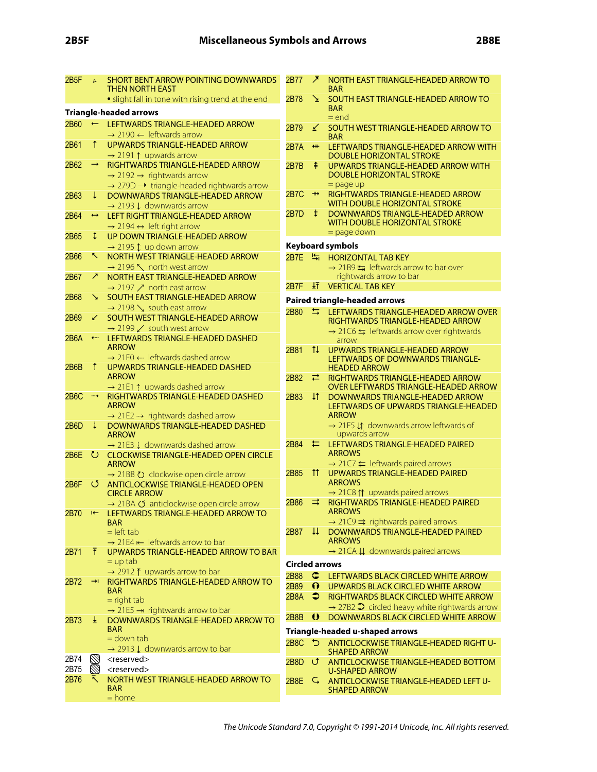| 2B5F | $\overline{L}$    | <b>SHORT BENT ARROW POINTING DOWNWARDS</b><br><b>THEN NORTH EAST</b>                                                                                       | 2B77                  | ↗                          | NORTH EAST TRIANGLE-HEADED ARROW TO<br><b>BAR</b>                                                             |
|------|-------------------|------------------------------------------------------------------------------------------------------------------------------------------------------------|-----------------------|----------------------------|---------------------------------------------------------------------------------------------------------------|
|      |                   | • slight fall in tone with rising trend at the end                                                                                                         | 2B78                  | ↘                          | SOUTH EAST TRIANGLE-HEADED ARROW TO                                                                           |
|      |                   | <b>Triangle-headed arrows</b>                                                                                                                              |                       |                            | <b>BAR</b><br>$=$ end                                                                                         |
| 2B60 | $\leftarrow$      | LEFTWARDS TRIANGLE-HEADED ARROW<br>$\rightarrow$ 2190 $\leftarrow$ leftwards arrow                                                                         | 2B79                  | ↙                          | SOUTH WEST TRIANGLE-HEADED ARROW TO<br><b>BAR</b>                                                             |
| 2B61 | T                 | UPWARDS TRIANGLE-HEADED ARROW<br>$\rightarrow$ 2191 1 upwards arrow                                                                                        | 2B7A                  | $+$                        | LEFTWARDS TRIANGLE-HEADED ARROW WITH<br><b>DOUBLE HORIZONTAL STROKE</b>                                       |
| 2B62 | $\rightarrow$     | RIGHTWARDS TRIANGLE-HEADED ARROW<br>$\rightarrow$ 2192 $\rightarrow$ rightwards arrow<br>$\rightarrow$ 279D $\rightarrow$ triangle-headed rightwards arrow | 2B7B                  | ⇞                          | UPWARDS TRIANGLE-HEADED ARROW WITH<br>DOUBLE HORIZONTAL STROKE<br>$=$ page up                                 |
| 2B63 | $\downarrow$      | DOWNWARDS TRIANGLE-HEADED ARROW<br>$\rightarrow$ 2193 $\downarrow$ downwards arrow                                                                         | <b>2B7C</b>           | $\pmb{\twoheadrightarrow}$ | RIGHTWARDS TRIANGLE-HEADED ARROW<br>WITH DOUBLE HORIZONTAL STROKE                                             |
| 2B64 | $\leftrightarrow$ | LEFT RIGHT TRIANGLE-HEADED ARROW<br>$\rightarrow$ 2194 $\leftrightarrow$ left right arrow                                                                  | 2B7D                  | $\ddagger$                 | DOWNWARDS TRIANGLE-HEADED ARROW<br>WITH DOUBLE HORIZONTAL STROKE                                              |
| 2B65 | Î.                | UP DOWN TRIANGLE-HEADED ARROW                                                                                                                              |                       |                            | $=$ page down                                                                                                 |
|      |                   | $\rightarrow$ 2195 1 up down arrow                                                                                                                         |                       |                            | <b>Keyboard symbols</b>                                                                                       |
| 2B66 | ↖.                | NORTH WEST TRIANGLE-HEADED ARROW                                                                                                                           | <b>2B7E</b>           | 量                          | <b>HORIZONTAL TAB KEY</b>                                                                                     |
|      |                   | $\rightarrow$ 2196 \ north west arrow                                                                                                                      |                       |                            | $\rightarrow$ 21B9 $\frac{1}{2}$ leftwards arrow to bar over                                                  |
| 2B67 | ↗                 | NORTH EAST TRIANGLE-HEADED ARROW                                                                                                                           |                       |                            | rightwards arrow to bar                                                                                       |
|      |                   | $\rightarrow$ 2197 $\nearrow$ north east arrow                                                                                                             | 2B7F                  |                            | $\frac{1}{2}$ VERTICAL TAB KEY                                                                                |
| 2B68 | ↘                 | SOUTH EAST TRIANGLE-HEADED ARROW                                                                                                                           |                       |                            | <b>Paired triangle-headed arrows</b>                                                                          |
| 2B69 | ↙                 | $\rightarrow$ 2198 \, south east arrow<br>SOUTH WEST TRIANGLE-HEADED ARROW                                                                                 | 2B80                  | $\Rightarrow$              | LEFTWARDS TRIANGLE-HEADED ARROW OVER<br>RIGHTWARDS TRIANGLE-HEADED ARROW                                      |
|      |                   | $\rightarrow$ 2199 $\swarrow$ south west arrow                                                                                                             |                       |                            | $\rightarrow$ 21C6 $\leftrightharpoons$ leftwards arrow over rightwards                                       |
| 2B6A | ←                 | LEFTWARDS TRIANGLE-HEADED DASHED<br><b>ARROW</b>                                                                                                           |                       |                            | arrow                                                                                                         |
|      |                   | $\rightarrow$ 21E0 $\leftarrow$ leftwards dashed arrow                                                                                                     | 2B81                  | $\uparrow \downarrow$      | UPWARDS TRIANGLE-HEADED ARROW<br>LEFTWARDS OF DOWNWARDS TRIANGLE-                                             |
| 2B6B | Ť                 | UPWARDS TRIANGLE-HEADED DASHED                                                                                                                             |                       |                            | <b>HEADED ARROW</b>                                                                                           |
|      |                   | <b>ARROW</b>                                                                                                                                               | 2B82                  | ⇄                          | RIGHTWARDS TRIANGLE-HEADED ARROW                                                                              |
|      |                   | $\rightarrow$ 21E1 $\uparrow$ upwards dashed arrow                                                                                                         |                       |                            | <b>OVER LEFTWARDS TRIANGLE-HEADED ARROW</b>                                                                   |
| 2B6C | ⇢                 | RIGHTWARDS TRIANGLE-HEADED DASHED<br><b>ARROW</b><br>$\rightarrow$ 21E2 $\rightarrow$ rightwards dashed arrow                                              | 2B83                  | ΨÎ                         | DOWNWARDS TRIANGLE-HEADED ARROW<br>LEFTWARDS OF UPWARDS TRIANGLE-HEADED<br><b>ARROW</b>                       |
| 2B6D | ÷                 | DOWNWARDS TRIANGLE-HEADED DASHED<br><b>ARROW</b>                                                                                                           |                       |                            | $\rightarrow$ 21F5 $\downarrow \uparrow$ downwards arrow leftwards of<br>upwards arrow                        |
|      |                   | $\rightarrow$ 21E3 $\downarrow$ downwards dashed arrow                                                                                                     | 2B84                  | ⇇                          | LEFTWARDS TRIANGLE-HEADED PAIRED                                                                              |
| 2B6E |                   | U CLOCKWISE TRIANGLE-HEADED OPEN CIRCLE<br><b>ARROW</b>                                                                                                    |                       |                            | <b>ARROWS</b><br>$\rightarrow$ 21C7 $\leftarrow$ leftwards paired arrows                                      |
|      |                   | → 21BB $\circlearrowright$ clockwise open circle arrow                                                                                                     | 2B85                  | $\uparrow\uparrow$         | <b>UPWARDS TRIANGLE-HEADED PAIRED</b>                                                                         |
| 2B6F | O                 | ANTICLOCKWISE TRIANGLE-HEADED OPEN                                                                                                                         |                       |                            | <b>ARROWS</b>                                                                                                 |
|      |                   | <b>CIRCLE ARROW</b>                                                                                                                                        |                       |                            | $\rightarrow$ 21C8 $\uparrow\uparrow$ upwards paired arrows                                                   |
| 2B70 |                   | → 21BA Ø anticlockwise open circle arrow<br>LEFTWARDS TRIANGLE-HEADED ARROW TO                                                                             | 2B86                  | ⇉                          | <b>RIGHTWARDS TRIANGLE-HEADED PAIRED</b><br><b>ARROWS</b>                                                     |
|      |                   | <b>BAR</b>                                                                                                                                                 |                       |                            | $\rightarrow$ 21C9 $\Rightarrow$ rightwards paired arrows                                                     |
|      |                   | $=$ left tab<br>$\rightarrow$ 21E4 $\leftarrow$ leftwards arrow to bar                                                                                     | 2B87                  |                            | H DOWNWARDS TRIANGLE-HEADED PAIRED<br><b>ARROWS</b>                                                           |
| 2B71 | Ŧ                 | UPWARDS TRIANGLE-HEADED ARROW TO BAR                                                                                                                       |                       |                            | $\rightarrow$ 21CA $\downarrow \downarrow$ downwards paired arrows                                            |
|      |                   | $=$ up tab                                                                                                                                                 |                       |                            |                                                                                                               |
|      |                   | $\rightarrow$ 2912 T upwards arrow to bar                                                                                                                  | <b>Circled arrows</b> |                            |                                                                                                               |
| 2B72 | $\rightarrow$     | RIGHTWARDS TRIANGLE-HEADED ARROW TO                                                                                                                        | 2B88                  | $\subset$                  | LEFTWARDS BLACK CIRCLED WHITE ARROW                                                                           |
|      |                   | <b>BAR</b>                                                                                                                                                 | 2B89<br>2B8A          | $\Omega$                   | UPWARDS BLACK CIRCLED WHITE ARROW                                                                             |
|      |                   | $=$ right tab                                                                                                                                              |                       | ∍                          | RIGHTWARDS BLACK CIRCLED WHITE ARROW<br>$\rightarrow$ 27B2 $\rightarrow$ circled heavy white rightwards arrow |
|      |                   | $\rightarrow$ 21E5 $\rightarrow$ rightwards arrow to bar                                                                                                   | <b>2B8B</b>           | $\boldsymbol{\theta}$      | DOWNWARDS BLACK CIRCLED WHITE ARROW                                                                           |
| 2B73 | ±                 | DOWNWARDS TRIANGLE-HEADED ARROW TO                                                                                                                         |                       |                            |                                                                                                               |
|      |                   | <b>BAR</b><br>$=$ down tab                                                                                                                                 |                       |                            | Triangle-headed u-shaped arrows                                                                               |
|      |                   | $\rightarrow$ 2913 $\downarrow$ downwards arrow to bar                                                                                                     | 2B8C 5                |                            | ANTICLOCKWISE TRIANGLE-HEADED RIGHT U-                                                                        |
| 2B74 | $\mathbb{Z}$      | <reserved></reserved>                                                                                                                                      |                       |                            | <b>SHAPED ARROW</b>                                                                                           |
| 2B75 | $\varnothing$     | <reserved></reserved>                                                                                                                                      | 2B8D け                |                            | ANTICLOCKWISE TRIANGLE-HEADED BOTTOM<br><b>U-SHAPED ARROW</b>                                                 |
| 2B76 | ↖                 | NORTH WEST TRIANGLE-HEADED ARROW TO<br><b>BAR</b><br>$=$ home                                                                                              | $2B8E$ $G$            |                            | ANTICLOCKWISE TRIANGLE-HEADED LEFT U-<br><b>SHAPED ARROW</b>                                                  |
|      |                   |                                                                                                                                                            |                       |                            |                                                                                                               |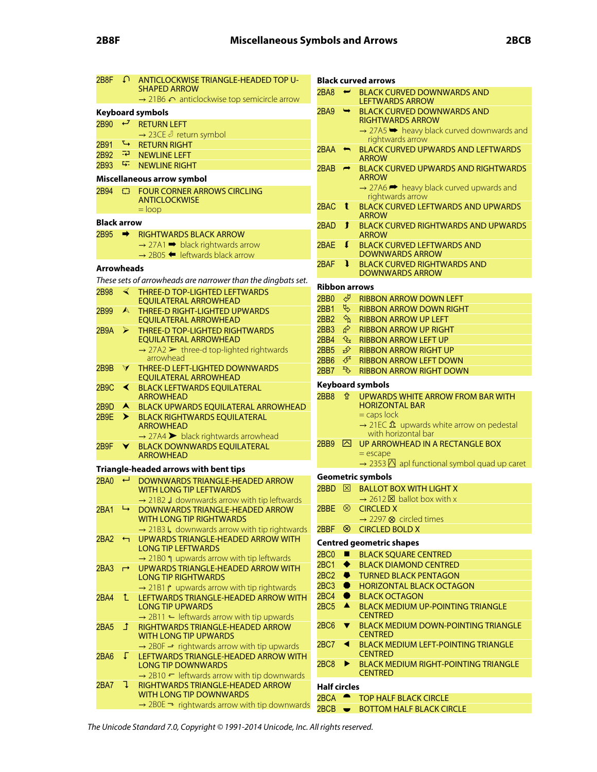| 2B8F               |                      | A ANTICLOCKWISE TRIANGLE-HEADED TOP U-                                                       | <b>Black curved arrows</b> |                          |                                                                                |  |
|--------------------|----------------------|----------------------------------------------------------------------------------------------|----------------------------|--------------------------|--------------------------------------------------------------------------------|--|
|                    |                      | <b>SHAPED ARROW</b>                                                                          | 2BA8                       | $\overline{\phantom{a}}$ | <b>BLACK CURVED DOWNWARDS AND</b>                                              |  |
|                    |                      | $\rightarrow$ 21B6 $\curvearrowleft$ anticlockwise top semicircle arrow                      |                            |                          | <b>LEFTWARDS ARROW</b>                                                         |  |
|                    |                      | <b>Keyboard symbols</b>                                                                      | 2BA9                       | $\rightarrow$            | <b>BLACK CURVED DOWNWARDS AND</b><br><b>RIGHTWARDS ARROW</b>                   |  |
| 2B90 $\leftarrow$  |                      | <b>RETURN LEFT</b>                                                                           |                            |                          | $\rightarrow$ 27A5 $\rightarrow$ heavy black curved downwards and              |  |
|                    | $\leftrightarrow$    | $\rightarrow$ 23CE $\vartheta$ return symbol                                                 |                            |                          | rightwards arrow                                                               |  |
| 2B91<br>2B92       | ŦР.                  | <b>RETURN RIGHT</b><br><b>NEWLINE LEFT</b>                                                   | $2BAA \Leftrightarrow$     |                          | <b>BLACK CURVED UPWARDS AND LEFTWARDS</b>                                      |  |
| 2B93               | ц.                   | <b>NEWLINE RIGHT</b>                                                                         |                            |                          | <b>ARROW</b>                                                                   |  |
|                    |                      |                                                                                              | 2BAB                       | $\rightarrow$            | <b>BLACK CURVED UPWARDS AND RIGHTWARDS</b><br><b>ARROW</b>                     |  |
|                    |                      | Miscellaneous arrow symbol                                                                   |                            |                          | $\rightarrow$ 27A6 $\rightarrow$ heavy black curved upwards and                |  |
| 2B94 t3            |                      | <b>FOUR CORNER ARROWS CIRCLING</b><br><b>ANTICLOCKWISE</b>                                   |                            |                          | rightwards arrow                                                               |  |
|                    |                      | $=$ loop                                                                                     | 2BAC                       | $\mathbf{t}$             | <b>BLACK CURVED LEFTWARDS AND UPWARDS</b>                                      |  |
| <b>Black arrow</b> |                      |                                                                                              |                            |                          | <b>ARROW</b>                                                                   |  |
| 2B95 $\rightarrow$ |                      | <b>RIGHTWARDS BLACK ARROW</b>                                                                | 2BAD                       | $\mathbf{r}$             | <b>BLACK CURVED RIGHTWARDS AND UPWARDS</b><br><b>ARROW</b>                     |  |
|                    |                      | $\rightarrow$ 27A1 $\rightarrow$ black rightwards arrow                                      | 2BAE                       | $\mathbf{r}$             | <b>BLACK CURVED LEFTWARDS AND</b>                                              |  |
|                    |                      | $\rightarrow$ 2B05 $\blacklozenge$ leftwards black arrow                                     |                            |                          | <b>DOWNWARDS ARROW</b>                                                         |  |
| <b>Arrowheads</b>  |                      |                                                                                              | 2BAF                       | <sup>1</sup>             | <b>BLACK CURVED RIGHTWARDS AND</b>                                             |  |
|                    |                      | These sets of arrowheads are narrower than the dingbats set.                                 |                            |                          | <b>DOWNWARDS ARROW</b>                                                         |  |
| 2B98               | $\blacktriangleleft$ | THREE-D TOP-LIGHTED LEFTWARDS                                                                | <b>Ribbon arrows</b>       |                          |                                                                                |  |
|                    |                      | <b>EOUILATERAL ARROWHEAD</b>                                                                 | 2BB0                       | ᢞ                        | <b>RIBBON ARROW DOWN LEFT</b>                                                  |  |
| 2B99               | $\blacktriangle$     | <b>THREE-D RIGHT-LIGHTED UPWARDS</b>                                                         | <b>2BB1</b>                | Ψ                        | <b>RIBBON ARROW DOWN RIGHT</b>                                                 |  |
|                    |                      | <b>EQUILATERAL ARROWHEAD</b>                                                                 | <b>2BB2</b>                | $\mathcal{P}$            | <b>RIBBON ARROW UP LEFT</b>                                                    |  |
| 2B9A               | $\triangleright$     | THREE-D TOP-LIGHTED RIGHTWARDS                                                               | 2BB3                       | ଟ୍ଟ                      | <b>RIBBON ARROW UP RIGHT</b>                                                   |  |
|                    |                      | <b>EQUILATERAL ARROWHEAD</b>                                                                 | <b>2BB4</b>                | ₠                        | <b>RIBBON ARROW LEFT UP</b>                                                    |  |
|                    |                      | $\rightarrow$ 27A2 $\triangleright$ three-d top-lighted rightwards<br>arrowhead              | <b>2BB5</b>                | $\mathcal{D}$            | <b>RIBBON ARROW RIGHT UP</b>                                                   |  |
| 2B9B               | $\Delta$             | THREE-D LEFT-LIGHTED DOWNWARDS                                                               | 2BB6                       | €                        | <b>RIBBON ARROW LEFT DOWN</b>                                                  |  |
|                    |                      | <b>EQUILATERAL ARROWHEAD</b>                                                                 | <b>2BB7</b>                | $\mathcal{F}$            | <b>RIBBON ARROW RIGHT DOWN</b>                                                 |  |
| <b>2B9C</b>        | ≺                    | <b>BLACK LEFTWARDS EQUILATERAL</b>                                                           |                            |                          | <b>Keyboard symbols</b>                                                        |  |
|                    |                      | <b>ARROWHEAD</b>                                                                             | 2BB8                       | ✿                        | UPWARDS WHITE ARROW FROM BAR WITH                                              |  |
| 2B9D               | $\blacktriangle$     | <b>BLACK UPWARDS EQUILATERAL ARROWHEAD</b>                                                   |                            |                          | <b>HORIZONTAL BAR</b><br>$=$ caps lock                                         |  |
| 2B9E               | ≻                    | <b>BLACK RIGHTWARDS EQUILATERAL</b><br><b>ARROWHEAD</b>                                      |                            |                          | $\rightarrow$ 21EC $\hat{\mathbf{\Omega}}$ upwards white arrow on pedestal     |  |
|                    |                      | $\rightarrow$ 27A4 > black rightwards arrowhead                                              |                            |                          | with horizontal bar                                                            |  |
| 2B9F               | Y.                   | <b>BLACK DOWNWARDS EQUILATERAL</b>                                                           | 2BB9                       | ⊠                        | UP ARROWHEAD IN A RECTANGLE BOX                                                |  |
|                    |                      | <b>ARROWHEAD</b>                                                                             |                            |                          | $=$ escape                                                                     |  |
|                    |                      | Triangle-headed arrows with bent tips                                                        |                            |                          | $\rightarrow$ 2353 $\overline{D}$ apl functional symbol quad up caret          |  |
| $2BA0 \leftarrow$  |                      | DOWNWARDS TRIANGLE-HEADED ARROW                                                              |                            |                          | <b>Geometric symbols</b>                                                       |  |
|                    |                      | <b>WITH LONG TIP LEFTWARDS</b>                                                               |                            |                          | 2BBD $\boxtimes$ BALLOT BOX WITH LIGHT X                                       |  |
|                    |                      | $\rightarrow$ 21B2 J downwards arrow with tip leftwards                                      |                            |                          | $\rightarrow$ 2612 $\times$ ballot box with x                                  |  |
|                    |                      | 2BA1 → DOWNWARDS TRIANGLE-HEADED ARROW                                                       |                            |                          | $2BBE \otimes CHCLED X$                                                        |  |
|                    |                      | <b>WITH LONG TIP RIGHTWARDS</b><br>$\rightarrow$ 21B3 L, downwards arrow with tip rightwards |                            |                          | $\rightarrow$ 2297 $\otimes$ circled times<br>2BBF <sup>8</sup> CIRCLED BOLD X |  |
| 2BA2               | $\leftarrow$         | UPWARDS TRIANGLE-HEADED ARROW WITH                                                           |                            |                          |                                                                                |  |
|                    |                      | <b>LONG TIP LEFTWARDS</b>                                                                    |                            |                          | <b>Centred geometric shapes</b>                                                |  |
|                    |                      | $\rightarrow$ 21B0 $\uparrow$ upwards arrow with tip leftwards                               | 2BC0<br>2BC1               | п                        | <b>BLACK SQUARE CENTRED</b>                                                    |  |
| 2BA3               | $\overrightarrow{ }$ | UPWARDS TRIANGLE-HEADED ARROW WITH                                                           | 2BC <sub>2</sub>           | ◆<br>- 0                 | <b>BLACK DIAMOND CENTRED</b><br><b>TURNED BLACK PENTAGON</b>                   |  |
|                    |                      | <b>LONG TIP RIGHTWARDS</b>                                                                   | 2BC3                       | $\bullet$                | <b>HORIZONTAL BLACK OCTAGON</b>                                                |  |
| 2BA4               | $\mathbf{r}$         | → 21B1 ↑ upwards arrow with tip rightwards<br>LEFTWARDS TRIANGLE-HEADED ARROW WITH           | $2BC4$ $\bullet$           |                          | <b>BLACK OCTAGON</b>                                                           |  |
|                    |                      | <b>LONG TIP UPWARDS</b>                                                                      | 2BC5                       | $\blacktriangle$         | <b>BLACK MEDIUM UP-POINTING TRIANGLE</b>                                       |  |
|                    |                      | $\rightarrow$ 2B11 $\leftarrow$ leftwards arrow with tip upwards                             |                            |                          | <b>CENTRED</b>                                                                 |  |
| 2BA5               | $\mathbf{I}$         | RIGHTWARDS TRIANGLE-HEADED ARROW                                                             | 2BC6                       | $\blacktriangledown$     | <b>BLACK MEDIUM DOWN-POINTING TRIANGLE</b>                                     |  |
|                    |                      | <b>WITH LONG TIP UPWARDS</b>                                                                 |                            |                          | <b>CENTRED</b>                                                                 |  |
|                    | Γ.                   | $\rightarrow$ 2B0F $\rightarrow$ rightwards arrow with tip upwards                           | <b>2BC7</b>                | $\blacktriangleleft$     | <b>BLACK MEDIUM LEFT-POINTING TRIANGLE</b><br><b>CENTRED</b>                   |  |
| 2BA6               |                      | LEFTWARDS TRIANGLE-HEADED ARROW WITH<br><b>LONG TIP DOWNWARDS</b>                            | 2BC8                       | ▶                        | <b>BLACK MEDIUM RIGHT-POINTING TRIANGLE</b>                                    |  |
|                    |                      | $\rightarrow$ 2B10 $\leftarrow$ leftwards arrow with tip downwards                           |                            |                          | <b>CENTRED</b>                                                                 |  |
| 2BA7               | ı                    | RIGHTWARDS TRIANGLE-HEADED ARROW                                                             | <b>Half circles</b>        |                          |                                                                                |  |
|                    |                      | <b>WITH LONG TIP DOWNWARDS</b>                                                               | $2BCA$ $\rightarrow$       |                          | <b>TOP HALF BLACK CIRCLE</b>                                                   |  |
|                    |                      | $\rightarrow$ 2B0E $\rightarrow$ rightwards arrow with tip downwards                         | $2BCB$ $\rightarrow$       |                          | <b>BOTTOM HALF BLACK CIRCLE</b>                                                |  |

The Unicode Standard 7.0, Copyright © 1991-2014 Unicode, Inc. All rights reserved.